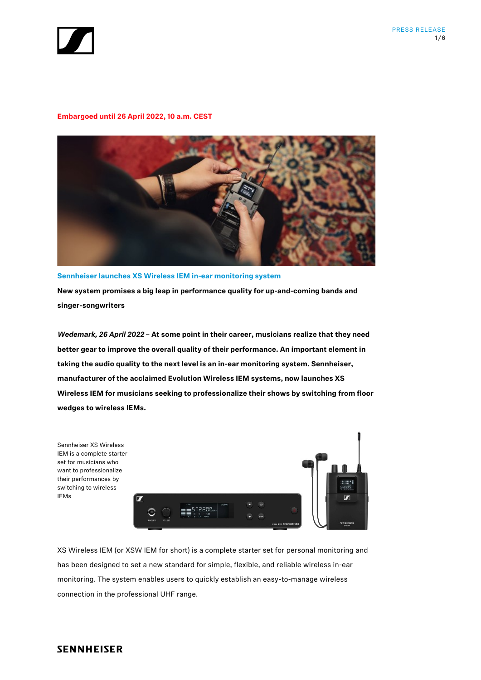



# **Embargoed until 26 April 2022, 10 a.m. CEST**



**Sennheiser launches XS Wireless IEM in-ear monitoring system New system promises a big leap in performance quality for up-and-coming bands and singer-songwriters**

*Wedemark, 26 April 2022* **– At some point in their career, musicians realize that they need better gear to improve the overall quality of their performance. An important element in taking the audio quality to the next level is an in-ear monitoring system. Sennheiser, manufacturer of the acclaimed Evolution Wireless IEM systems, now launches XS Wireless IEM for musicians seeking to professionalize their shows by switching from floor wedges to wireless IEMs.** 



XS Wireless IEM (or XSW IEM for short) is a complete starter set for personal monitoring and has been designed to set a new standard for simple, flexible, and reliable wireless in-ear monitoring. The system enables users to quickly establish an easy-to-manage wireless connection in the professional UHF range.

# **SENNHEISER**

IEMs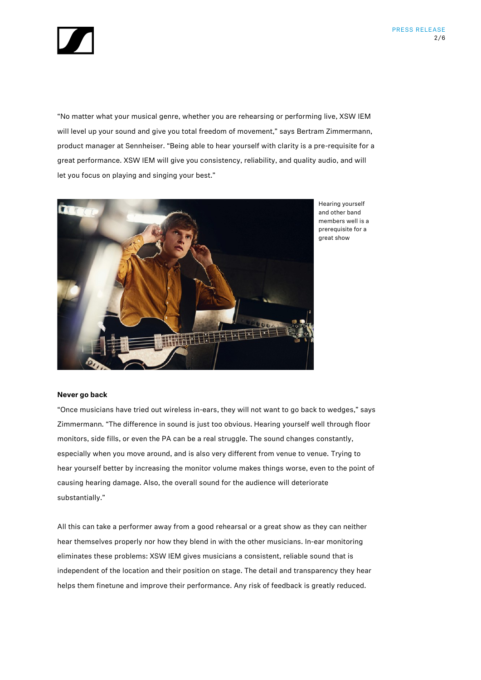

"No matter what your musical genre, whether you are rehearsing or performing live, XSW IEM will level up your sound and give you total freedom of movement," says Bertram Zimmermann, product manager at Sennheiser. "Being able to hear yourself with clarity is a pre-requisite for a great performance. XSW IEM will give you consistency, reliability, and quality audio, and will let you focus on playing and singing your best."



Hearing yourself and other band members well is a prerequisite for a great show

# **Never go back**

"Once musicians have tried out wireless in-ears, they will not want to go back to wedges," says Zimmermann. "The difference in sound is just too obvious. Hearing yourself well through floor monitors, side fills, or even the PA can be a real struggle. The sound changes constantly, especially when you move around, and is also very different from venue to venue. Trying to hear yourself better by increasing the monitor volume makes things worse, even to the point of causing hearing damage. Also, the overall sound for the audience will deteriorate substantially."

All this can take a performer away from a good rehearsal or a great show as they can neither hear themselves properly nor how they blend in with the other musicians. In-ear monitoring eliminates these problems: XSW IEM gives musicians a consistent, reliable sound that is independent of the location and their position on stage. The detail and transparency they hear helps them finetune and improve their performance. Any risk of feedback is greatly reduced.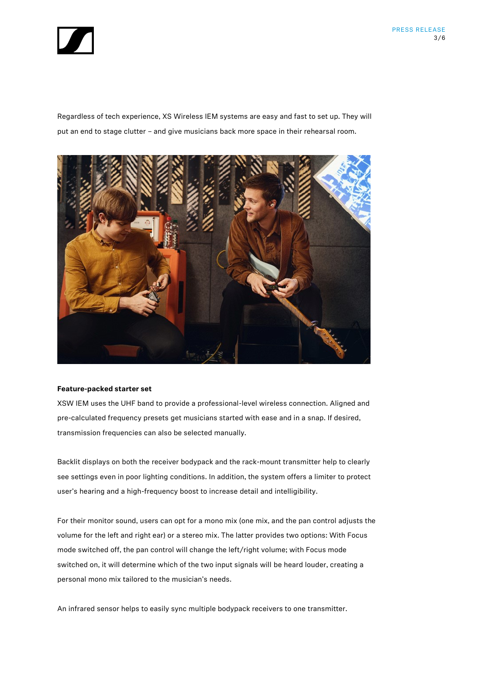

Regardless of tech experience, XS Wireless IEM systems are easy and fast to set up. They will put an end to stage clutter – and give musicians back more space in their rehearsal room.



#### **Feature-packed starter set**

XSW IEM uses the UHF band to provide a professional-level wireless connection. Aligned and pre-calculated frequency presets get musicians started with ease and in a snap. If desired, transmission frequencies can also be selected manually.

Backlit displays on both the receiver bodypack and the rack-mount transmitter help to clearly see settings even in poor lighting conditions. In addition, the system offers a limiter to protect user's hearing and a high-frequency boost to increase detail and intelligibility.

For their monitor sound, users can opt for a mono mix (one mix, and the pan control adjusts the volume for the left and right ear) or a stereo mix. The latter provides two options: With Focus mode switched off, the pan control will change the left/right volume; with Focus mode switched on, it will determine which of the two input signals will be heard louder, creating a personal mono mix tailored to the musician's needs.

An infrared sensor helps to easily sync multiple bodypack receivers to one transmitter.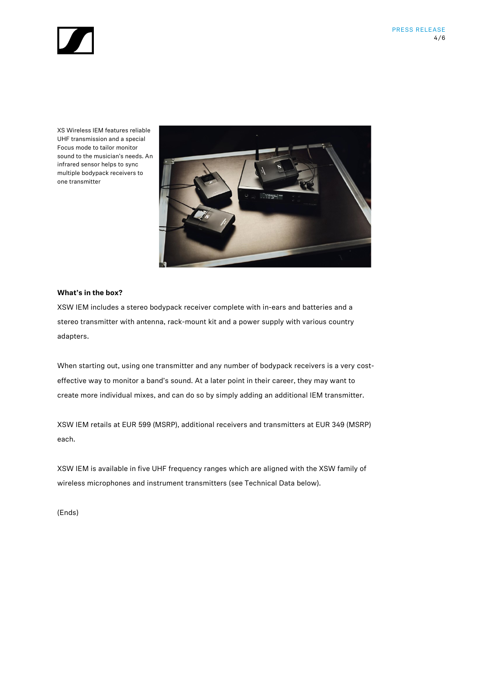

XS Wireless IEM features reliable UHF transmission and a special Focus mode to tailor monitor sound to the musician's needs. An infrared sensor helps to sync multiple bodypack receivers to one transmitter



# **What's in the box?**

XSW IEM includes a stereo bodypack receiver complete with in-ears and batteries and a stereo transmitter with antenna, rack-mount kit and a power supply with various country adapters.

When starting out, using one transmitter and any number of bodypack receivers is a very costeffective way to monitor a band's sound. At a later point in their career, they may want to create more individual mixes, and can do so by simply adding an additional IEM transmitter.

XSW IEM retails at EUR 599 (MSRP), additional receivers and transmitters at EUR 349 (MSRP) each.

XSW IEM is available in five UHF frequency ranges which are aligned with the XSW family of wireless microphones and instrument transmitters (see Technical Data below).

(Ends)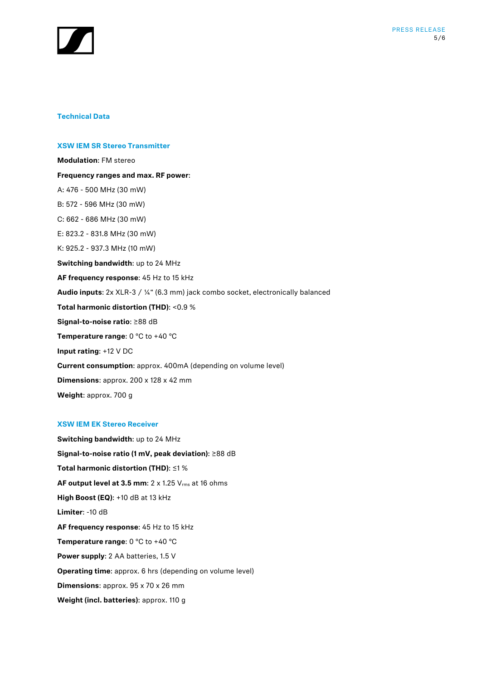

### **Technical Data**

# **XSW IEM SR Stereo Transmitter**

**Modulation**: FM stereo **Frequency ranges and max. RF power**: A: 476 - 500 MHz (30 mW) B: 572 - 596 MHz (30 mW) C: 662 - 686 MHz (30 mW) E: 823.2 - 831.8 MHz (30 mW) K: 925.2 - 937.3 MHz (10 mW) **Switching bandwidth**: up to 24 MHz **AF frequency response**: 45 Hz to 15 kHz **Audio inputs**: 2x XLR-3 / ¼" (6.3 mm) jack combo socket, electronically balanced **Total harmonic distortion (THD)**: <0.9 % **Signal-to-noise ratio**: ≥88 dB **Temperature range**: 0 °C to +40 °C **Input rating**: +12 V DC **Current consumption**: approx. 400mA (depending on volume level) **Dimensions**: approx. 200 x 128 x 42 mm **Weight**: approx. 700 g

#### **XSW IEM EK Stereo Receiver**

**Switching bandwidth**: up to 24 MHz **Signal-to-noise ratio (1 mV, peak deviation)**: ≥88 dB **Total harmonic distortion (THD)**: ≤1 % **AF output level at 3.5 mm**: 2 x 1.25 Vrms at 16 ohms **High Boost (EQ)**: +10 dB at 13 kHz **Limiter**: -10 dB **AF frequency response**: 45 Hz to 15 kHz **Temperature range**: 0 °C to +40 °C **Power supply**: 2 AA batteries, 1.5 V **Operating time**: approx. 6 hrs (depending on volume level) **Dimensions**: approx. 95 x 70 x 26 mm **Weight (incl. batteries)**: approx. 110 g